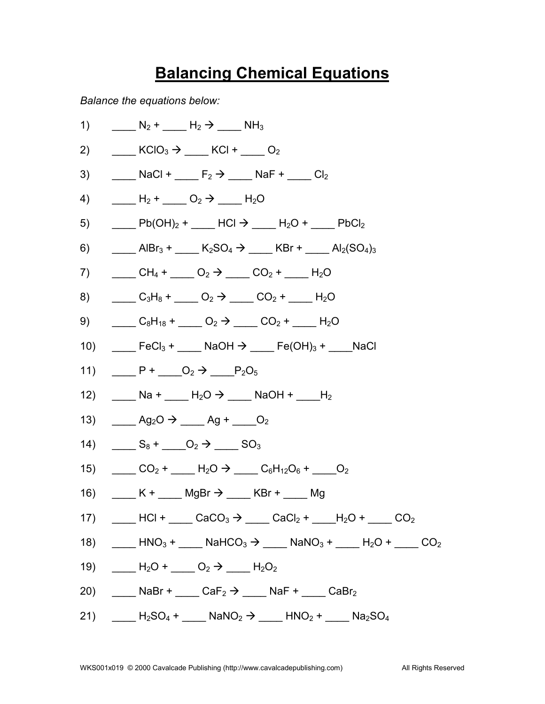## **Balancing Chemical Equations**

*Balance the equations below:*